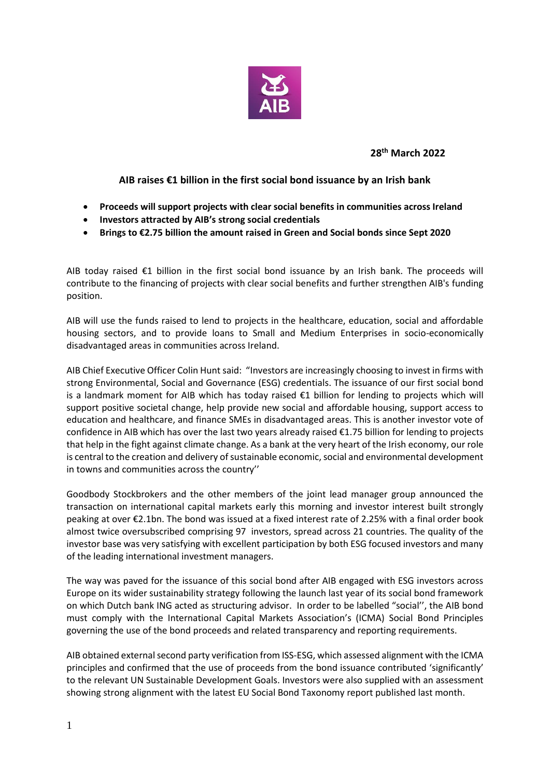

**28th March 2022**

## **AIB raises €1 billion in the first social bond issuance by an Irish bank**

- **Proceeds will support projects with clear social benefits in communities across Ireland**
- **Investors attracted by AIB's strong social credentials**
- **Brings to €2.75 billion the amount raised in Green and Social bonds since Sept 2020**

AIB today raised  $\epsilon$ 1 billion in the first social bond issuance by an Irish bank. The proceeds will contribute to the financing of projects with clear social benefits and further strengthen AIB's funding position.

AIB will use the funds raised to lend to projects in the healthcare, education, social and affordable housing sectors, and to provide loans to Small and Medium Enterprises in socio-economically disadvantaged areas in communities across Ireland.

AIB Chief Executive Officer Colin Hunt said: "Investors are increasingly choosing to invest in firms with strong Environmental, Social and Governance (ESG) credentials. The issuance of our first social bond is a landmark moment for AIB which has today raised €1 billion for lending to projects which will support positive societal change, help provide new social and affordable housing, support access to education and healthcare, and finance SMEs in disadvantaged areas. This is another investor vote of confidence in AIB which has over the last two years already raised €1.75 billion for lending to projects that help in the fight against climate change. As a bank at the very heart of the Irish economy, our role is central to the creation and delivery of sustainable economic, social and environmental development in towns and communities across the country''

Goodbody Stockbrokers and the other members of the joint lead manager group announced the transaction on international capital markets early this morning and investor interest built strongly peaking at over €2.1bn. The bond was issued at a fixed interest rate of 2.25% with a final order book almost twice oversubscribed comprising 97 investors, spread across 21 countries. The quality of the investor base was very satisfying with excellent participation by both ESG focused investors and many of the leading international investment managers.

The way was paved for the issuance of this social bond after AIB engaged with ESG investors across Europe on its wider sustainability strategy following the launch last year of its social bond framework on which Dutch bank ING acted as structuring advisor. In order to be labelled "social'', the AIB bond must comply with the International Capital Markets Association's (ICMA) Social Bond Principles governing the use of the bond proceeds and related transparency and reporting requirements.

AIB obtained external second party verification from ISS-ESG, which assessed alignment with the ICMA principles and confirmed that the use of proceeds from the bond issuance contributed 'significantly' to the relevant UN Sustainable Development Goals. Investors were also supplied with an assessment showing strong alignment with the latest EU Social Bond Taxonomy report published last month.